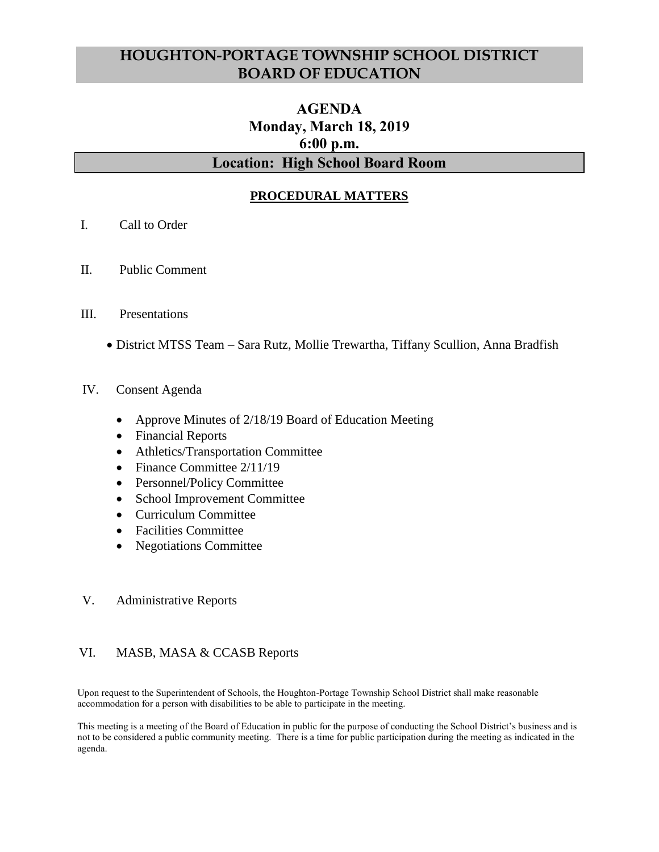# **HOUGHTON-PORTAGE TOWNSHIP SCHOOL DISTRICT BOARD OF EDUCATION**

# **AGENDA Monday, March 18, 2019 6:00 p.m. Location: High School Board Room**

# **PROCEDURAL MATTERS**

- I. Call to Order
- II. Public Comment
- III. Presentations
	- District MTSS Team Sara Rutz, Mollie Trewartha, Tiffany Scullion, Anna Bradfish

#### IV. Consent Agenda

- Approve Minutes of 2/18/19 Board of Education Meeting
- Financial Reports
- Athletics/Transportation Committee
- Finance Committee 2/11/19
- Personnel/Policy Committee
- School Improvement Committee
- Curriculum Committee
- Facilities Committee
- Negotiations Committee

#### V. Administrative Reports

## VI. MASB, MASA & CCASB Reports

Upon request to the Superintendent of Schools, the Houghton-Portage Township School District shall make reasonable accommodation for a person with disabilities to be able to participate in the meeting.

This meeting is a meeting of the Board of Education in public for the purpose of conducting the School District's business and is not to be considered a public community meeting. There is a time for public participation during the meeting as indicated in the agenda.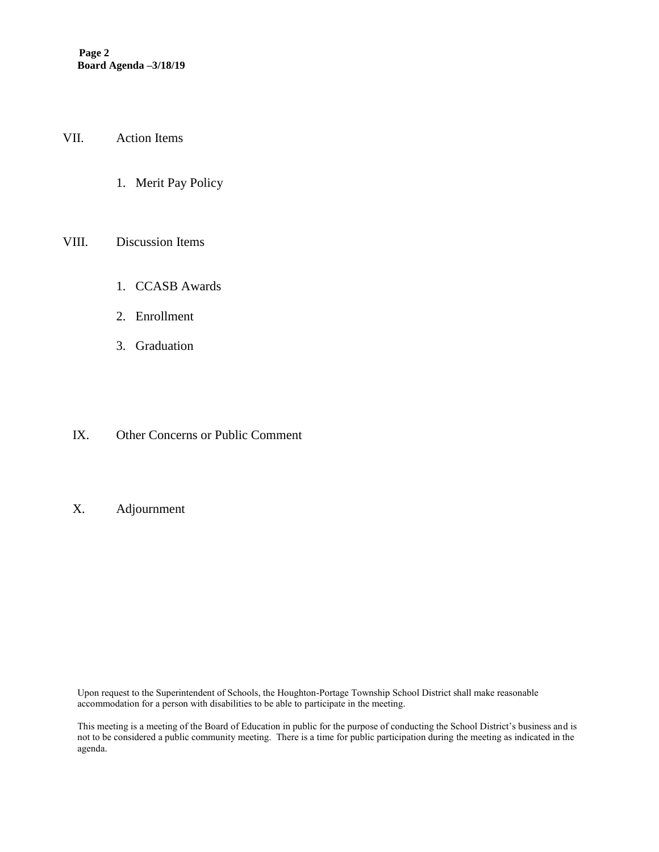VII. Action Items

1. Merit Pay Policy

#### VIII. Discussion Items

- 1. CCASB Awards
- 2. Enrollment
- 3. Graduation
- IX. Other Concerns or Public Comment

### X. Adjournment

Upon request to the Superintendent of Schools, the Houghton-Portage Township School District shall make reasonable accommodation for a person with disabilities to be able to participate in the meeting.

This meeting is a meeting of the Board of Education in public for the purpose of conducting the School District's business and is not to be considered a public community meeting. There is a time for public participation during the meeting as indicated in the agenda.